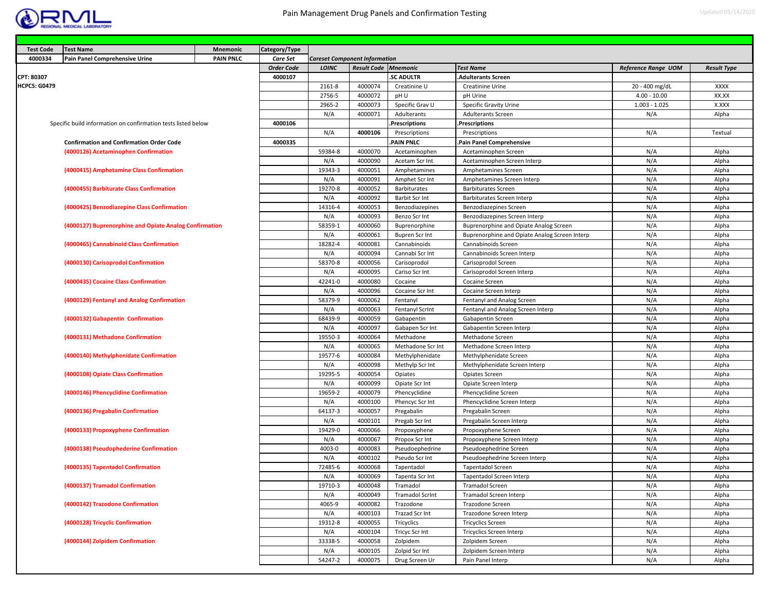

| <b>Test Code</b>    | <b>Test Name</b>                                              | Mnemonic         | Category/Type     |                |                                      |                                    |                                                         |                            |                    |
|---------------------|---------------------------------------------------------------|------------------|-------------------|----------------|--------------------------------------|------------------------------------|---------------------------------------------------------|----------------------------|--------------------|
| 4000334             | Pain Panel Comprehensive Urine                                | <b>PAIN PNLC</b> | Care Set          |                | <b>Careset Component Information</b> |                                    |                                                         |                            |                    |
|                     |                                                               |                  | <b>Order Code</b> | LOINC          | <b>Result Code Mnemonic</b>          |                                    | <b>Test Name</b>                                        | <b>Reference Range UOM</b> | <b>Result Type</b> |
| CPT: 80307          |                                                               |                  | 4000107           |                |                                      | <b>SC ADULTR</b>                   | <b>Adulterants Screen</b>                               |                            |                    |
| <b>HCPCS: G0479</b> |                                                               |                  |                   | 2161-8         | 4000074                              | Creatinine U                       | Creatinine Urine                                        | 20 - 400 mg/dL             | <b>XXXX</b>        |
|                     |                                                               |                  |                   | 2756-5         | 4000072                              | pH U                               | pH Urine                                                | $4.00 - 10.00$             | XX.XX              |
|                     |                                                               |                  |                   | 2965-2         | 4000073                              | Specific Grav U                    | Specific Gravity Urine                                  | $1.003 - 1.025$            | X.XXX              |
|                     |                                                               |                  |                   | N/A            | 4000071                              | Adulterants                        | Adulterants Screen                                      | N/A                        | Alpha              |
|                     | Specific build information on confirmation tests listed below |                  | 4000106           |                |                                      | <b>Prescriptions</b>               | Prescriptions.                                          |                            |                    |
|                     |                                                               |                  |                   | N/A            | 4000106                              | Prescriptions                      | Prescriptions                                           | N/A                        | Textual            |
|                     | <b>Confirmation and Confirmation Order Code</b>               |                  | 4000335           |                |                                      | PAIN PNLC                          | Pain Panel Comprehensive                                |                            |                    |
|                     | (4000126) Acetaminophen Confirmation                          |                  |                   | 59384-8        | 4000070                              | Acetaminophen                      | Acetaminophen Screen                                    | N/A                        | Alpha              |
|                     |                                                               |                  |                   | N/A            | 4000090                              | Acetam Scr Int                     | Acetaminophen Screen Interp                             | N/A                        | Alpha              |
|                     | (4000415) Amphetamine Class Confirmation                      |                  |                   | 19343-3        | 4000051                              | Amphetamines                       | Amphetamines Screen                                     | N/A                        | Alpha              |
|                     |                                                               |                  |                   | N/A            | 4000091                              | Amphet Scr Int                     | Amphetamines Screen Interp                              | N/A                        | Alpha              |
|                     | (4000455) Barbiturate Class Confirmation                      |                  |                   | 19270-8        | 4000052                              | Barbiturates                       | <b>Barbiturates Screen</b>                              | N/A                        | Alpha              |
|                     |                                                               |                  |                   | N/A            | 4000092                              | Barbit Scr Int                     | Barbiturates Screen Interp                              | N/A                        | Alpha              |
|                     | (4000425) Benzodiazepine Class Confirmation                   |                  |                   | 14316-4        | 4000053                              | Benzodiazepines                    | Benzodiazepines Screen                                  | N/A                        | Alpha              |
|                     |                                                               |                  |                   | N/A            | 4000093                              | Benzo Scr Int                      | Benzodiazepines Screen Interp                           | N/A                        | Alpha              |
|                     | (4000127) Buprenorphine and Opiate Analog Confirmation        |                  |                   | 58359-1        | 4000060                              | Buprenorphine                      | Buprenorphine and Opiate Analog Screen                  | N/A                        | Alpha              |
|                     |                                                               |                  |                   | N/A            | 4000061                              | <b>Bupren Scr Int</b>              | Buprenorphine and Opiate Analog Screen Interp           | N/A                        | Alpha              |
|                     | (4000465) Cannabinoid Class Confirmation                      |                  |                   | 18282-4        | 4000081                              | Cannabinoids                       | Cannabinoids Screen                                     | N/A                        | Alpha              |
|                     |                                                               |                  |                   | N/A            | 4000094                              | Cannabi Scr Int                    | Cannabinoids Screen Interp                              | N/A                        | Alpha              |
|                     | (4000130) Carisoprodol Confirmation                           |                  |                   | 58370-8        | 4000056                              | Carisoprodol                       | Carisoprodol Screen                                     | N/A                        | Alpha              |
|                     |                                                               |                  |                   | N/A            | 4000095                              | Cariso Scr Int                     | Carisoprodol Screen Interp                              | N/A                        | Alpha              |
|                     | (4000435) Cocaine Class Confirmation                          |                  |                   | 42241-0        | 4000080                              | Cocaine                            | Cocaine Screen                                          | N/A                        | Alpha              |
|                     |                                                               |                  |                   | N/A            | 4000096                              | Cocaine Scr Int                    | Cocaine Screen Interp                                   | N/A                        | Alpha              |
|                     | (4000129) Fentanyl and Analog Confirmation                    |                  |                   | 58379-9        | 4000062                              | Fentanyl                           | Fentanyl and Analog Screen                              | N/A                        | Alpha              |
|                     |                                                               |                  |                   | N/A            | 4000063                              | Fentanyl Scrint                    | Fentanyl and Analog Screen Interp                       | N/A                        | Alpha              |
|                     | (4000132) Gabapentin Confirmation                             |                  |                   | 68439-9        | 4000059                              | Gabapentin                         | Gabapentin Screen                                       | N/A<br>N/A                 | Alpha              |
|                     |                                                               |                  |                   | N/A<br>19550-3 | 4000097                              | Gabapen Scr Int                    | Gabapentin Screen Interp                                |                            | Alpha              |
|                     | (4000131) Methadone Confirmation                              |                  |                   | N/A            | 4000064<br>4000065                   | Methadone<br>Methadone Scr Int     | Methadone Screen<br>Methadone Screen Interp             | N/A<br>N/A                 | Alpha              |
|                     |                                                               |                  |                   | 19577-6        | 4000084                              |                                    |                                                         | N/A                        | Alpha<br>Alpha     |
|                     | (4000140) Methylphenidate Confirmation                        |                  |                   | N/A            | 4000098                              | Methylphenidate<br>Methylp Scr Int | Methylphenidate Screen<br>Methylphenidate Screen Interp | N/A                        | Alpha              |
|                     | (4000108) Opiate Class Confirmation                           |                  |                   | 19295-5        | 4000054                              | Opiates                            | Opiates Screen                                          | N/A                        | Alpha              |
|                     |                                                               |                  |                   | N/A            | 4000099                              | Opiate Scr Int                     | Opiate Screen Interp                                    | N/A                        | Alpha              |
|                     | (4000146) Phencyclidine Confirmation                          |                  |                   | 19659-2        | 4000079                              | Phencyclidine                      | Phencyclidine Screen                                    | N/A                        | Alpha              |
|                     |                                                               |                  |                   | N/A            | 4000100                              | Phencyc Scr Int                    | Phencyclidine Screen Interp                             | N/A                        | Alpha              |
|                     | (4000136) Pregabalin Confirmation                             |                  |                   | 64137-3        | 4000057                              | Pregabalin                         | Pregabalin Screen                                       | N/A                        | Alpha              |
|                     |                                                               |                  |                   | N/A            | 4000101                              | Pregab Scr Int                     | Pregabalin Screen Interp                                | N/A                        | Alpha              |
|                     | (4000133) Propoxyphene Confirmation                           |                  |                   | 19429-0        | 4000066                              | Propoxyphene                       | Propoxyphene Screen                                     | N/A                        | Alpha              |
|                     |                                                               |                  |                   | N/A            | 4000067                              | Propox Scr Int                     | Propoxyphene Screen Interp                              | N/A                        | Alpha              |
|                     | (4000138) Pseudophederine Confirmation                        |                  |                   | 4003-0         | 4000083                              | Pseudoephedrine                    | Pseudoephedrine Screen                                  | N/A                        | Alpha              |
|                     |                                                               |                  |                   | N/A            | 4000102                              | Pseudo Scr Int                     | Pseudoephedrine Screen Interp                           | N/A                        | Alpha              |
|                     | (4000135) Tapentadol Confirmation                             |                  |                   | 72485-6        | 4000068                              | Tapentadol                         | Tapentadol Screen                                       | N/A                        | Alpha              |
|                     |                                                               |                  |                   | N/A            | 4000069                              | Tapenta Scr Int                    | Tapentadol Screen Interp                                | N/A                        | Alpha              |
|                     | (4000137) Tramadol Confirmation                               |                  |                   | 19710-3        | 4000048                              | Tramadol                           | Tramadol Screen                                         | N/A                        | Alpha              |
|                     |                                                               |                  |                   | N/A            | 4000049                              | <b>Tramadol Scrint</b>             | Tramadol Screen Interp                                  | N/A                        | Alpha              |
|                     | (4000142) Trazodone Confirmation                              |                  |                   | 4065-9         | 4000082                              | Trazodone                          | Trazodone Screen                                        | N/A                        | Alpha              |
|                     |                                                               |                  |                   | N/A            | 4000103                              | Trazad Scr Int                     | Trazodone Screen Interp                                 | N/A                        | Alpha              |
|                     | (4000128) Tricyclic Confirmation                              |                  |                   | 19312-8        | 4000055                              | Tricyclics                         | <b>Tricyclics Screen</b>                                | N/A                        | Alpha              |
|                     |                                                               |                  |                   | N/A            | 4000104                              | Tricyc Scr Int                     | Tricyclics Screen Interp                                | N/A                        | Alpha              |
|                     | (4000144) Zolpidem Confirmation                               |                  |                   | 33338-5        | 4000058                              | Zolpidem                           | Zolpidem Screen                                         | N/A                        | Alpha              |
|                     |                                                               |                  |                   | N/A            | 4000105                              | Zolpid Scr Int                     | Zolpidem Screen Interp                                  | N/A                        | Alpha              |
|                     |                                                               |                  |                   | 54247-2        | 4000075                              | Drug Screen Ur                     | Pain Panel Interp                                       | N/A                        | Alpha              |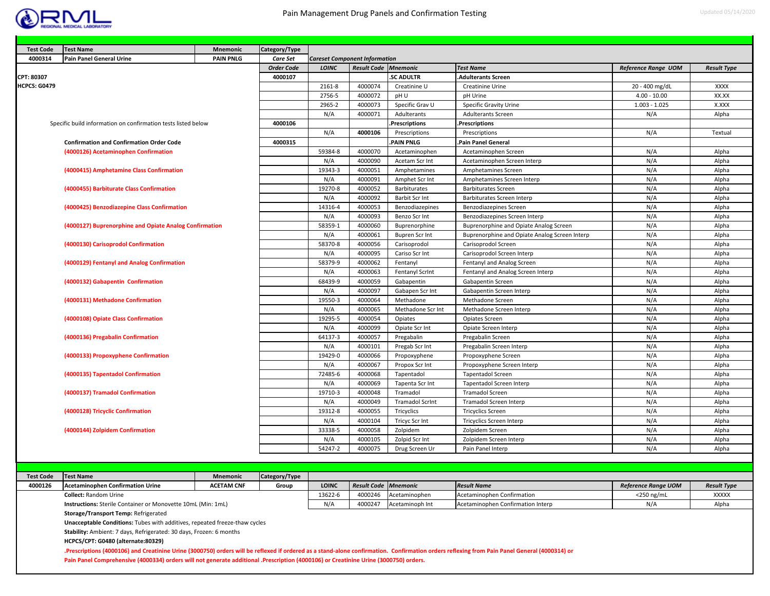

| <b>Test Code</b>    | <b>Test Name</b>                                              | Mnemonic         | Category/Type     |              |                                      |                        |                                               |                            |                    |
|---------------------|---------------------------------------------------------------|------------------|-------------------|--------------|--------------------------------------|------------------------|-----------------------------------------------|----------------------------|--------------------|
| 4000314             | <b>Pain Panel General Urine</b>                               | <b>PAIN PNLG</b> | <b>Care Set</b>   |              | <b>Careset Component Information</b> |                        |                                               |                            |                    |
|                     |                                                               |                  | <b>Order Code</b> | <b>LOINC</b> | <b>Result Code Mnemonic</b>          |                        | <b>Test Name</b>                              | <b>Reference Range UOM</b> | <b>Result Type</b> |
| CPT: 80307          |                                                               |                  | 4000107           |              |                                      | <b>SC ADULTR</b>       | <b>Adulterants Screen</b>                     |                            |                    |
| <b>HCPCS: G0479</b> |                                                               |                  |                   | 2161-8       | 4000074                              | Creatinine U           | Creatinine Urine                              | 20 - 400 mg/dL             | <b>XXXX</b>        |
|                     |                                                               |                  |                   | 2756-5       | 4000072                              | pH U                   | pH Urine                                      | $4.00 - 10.00$             | XX.XX              |
|                     |                                                               |                  |                   | 2965-2       | 4000073                              | Specific Grav U        | Specific Gravity Urine                        | $1.003 - 1.025$            | X.XXX              |
|                     |                                                               |                  |                   | N/A          | 4000071                              | Adulterants            | <b>Adulterants Screen</b>                     | N/A                        | Alpha              |
|                     | Specific build information on confirmation tests listed below |                  | 4000106           |              |                                      | .Prescriptions         | Prescriptions.                                |                            |                    |
|                     |                                                               |                  |                   | N/A          | 4000106                              | Prescriptions          | Prescriptions                                 | N/A                        | Textual            |
|                     | <b>Confirmation and Confirmation Order Code</b>               |                  | 4000315           |              |                                      | PAIN PNLG              | Pain Panel General                            |                            |                    |
|                     | (4000126) Acetaminophen Confirmation                          |                  |                   | 59384-8      | 4000070                              | Acetaminophen          | Acetaminophen Screen                          | N/A                        | Alpha              |
|                     |                                                               |                  |                   | N/A          | 4000090                              | Acetam Scr Int         | Acetaminophen Screen Interp                   | N/A                        | Alpha              |
|                     | (4000415) Amphetamine Class Confirmation                      |                  |                   | 19343-3      | 4000051                              | Amphetamines           | Amphetamines Screen                           | N/A                        | Alpha              |
|                     |                                                               |                  |                   | N/A          | 4000091                              | Amphet Scr Int         | Amphetamines Screen Interp                    | N/A                        | Alpha              |
|                     | (4000455) Barbiturate Class Confirmation                      |                  |                   | 19270-8      | 4000052                              | Barbiturates           | <b>Barbiturates Screen</b>                    | N/A                        | Alpha              |
|                     |                                                               |                  |                   | N/A          | 4000092                              | Barbit Scr Int         | Barbiturates Screen Interp                    | N/A                        | Alpha              |
|                     | (4000425) Benzodiazepine Class Confirmation                   |                  |                   | 14316-4      | 4000053                              | Benzodiazepines        | Benzodiazepines Screen                        | N/A                        | Alpha              |
|                     |                                                               |                  |                   | N/A          | 4000093                              | Benzo Scr Int          | Benzodiazepines Screen Interp                 | N/A                        | Alpha              |
|                     | (4000127) Buprenorphine and Opiate Analog Confirmation        |                  |                   | 58359-1      | 4000060                              | Buprenorphine          | Buprenorphine and Opiate Analog Screen        | N/A                        | Alpha              |
|                     |                                                               |                  |                   | N/A          | 4000061                              | <b>Bupren Scr Int</b>  | Buprenorphine and Opiate Analog Screen Interp | N/A                        | Alpha              |
|                     | (4000130) Carisoprodol Confirmation                           |                  |                   | 58370-8      | 4000056                              | Carisoprodol           | Carisoprodol Screen                           | N/A                        | Alpha              |
|                     |                                                               |                  |                   | N/A          | 4000095                              | Cariso Scr Int         | Carisoprodol Screen Interp                    | N/A                        | Alpha              |
|                     | (4000129) Fentanyl and Analog Confirmation                    |                  |                   | 58379-9      | 4000062                              | Fentanyl               | Fentanyl and Analog Screen                    | N/A                        | Alpha              |
|                     |                                                               |                  |                   | N/A          | 4000063                              | Fentanyl Scrint        | Fentanyl and Analog Screen Interp             | N/A                        | Alpha              |
|                     | (4000132) Gabapentin Confirmation                             |                  |                   | 68439-9      | 4000059                              | Gabapentin             | Gabapentin Screen                             | N/A                        | Alpha              |
|                     |                                                               |                  |                   | N/A          | 4000097                              | Gabapen Scr Int        | Gabapentin Screen Interp                      | N/A                        | Alpha              |
|                     | (4000131) Methadone Confirmation                              |                  |                   | 19550-3      | 4000064                              | Methadone              | Methadone Screen                              | N/A                        | Alpha              |
|                     |                                                               |                  |                   | N/A          | 4000065                              | Methadone Scr Int      | Methadone Screen Interp                       | N/A                        | Alpha              |
|                     | (4000108) Opiate Class Confirmation                           |                  |                   | 19295-5      | 4000054                              | Opiates                | Opiates Screen                                | N/A                        | Alpha              |
|                     |                                                               |                  |                   | N/A          | 4000099                              | Opiate Scr Int         | Opiate Screen Interp                          | N/A                        | Alpha              |
|                     | (4000136) Pregabalin Confirmation                             |                  |                   | 64137-3      | 4000057                              | Pregabalin             | Pregabalin Screen                             | N/A                        | Alpha              |
|                     |                                                               |                  |                   | N/A          | 4000101                              | Pregab Scr Int         | Pregabalin Screen Interp                      | N/A                        | Alpha              |
|                     | (4000133) Propoxyphene Confirmation                           |                  |                   | 19429-0      | 4000066                              | Propoxyphene           | Propoxyphene Screen                           | N/A                        | Alpha              |
|                     |                                                               |                  |                   | N/A          | 4000067                              | Propox Scr Int         | Propoxyphene Screen Interp                    | N/A                        | Alpha              |
|                     | (4000135) Tapentadol Confirmation                             |                  |                   | 72485-6      | 4000068                              | Tapentadol             | <b>Tapentadol Screen</b>                      | N/A                        | Alpha              |
|                     |                                                               |                  |                   | N/A          | 4000069                              | Tapenta Scr Int        | Tapentadol Screen Interp                      | N/A                        | Alpha              |
|                     | (4000137) Tramadol Confirmation                               |                  |                   | 19710-3      | 4000048                              | Tramadol               | <b>Tramadol Screen</b>                        | N/A                        | Alpha              |
|                     |                                                               |                  |                   | N/A          | 4000049                              | <b>Tramadol Scrint</b> | Tramadol Screen Interp                        | N/A                        | Alpha              |
|                     | (4000128) Tricyclic Confirmation                              |                  |                   | 19312-8      | 4000055                              | Tricyclics             | <b>Tricyclics Screen</b>                      | N/A                        | Alpha              |
|                     |                                                               |                  |                   | N/A          | 4000104                              | Tricyc Scr Int         | Tricyclics Screen Interp                      | N/A                        | Alpha              |
|                     | (4000144) Zolpidem Confirmation                               |                  |                   | 33338-5      | 4000058                              | Zolpidem               | Zolpidem Screen                               | N/A                        | Alpha              |
|                     |                                                               |                  |                   | N/A          | 4000105                              | Zolpid Scr Int         | Zolpidem Screen Interp                        | N/A                        | Alpha              |
|                     |                                                               |                  |                   | 54247-2      | 4000075                              | Drug Screen Ur         | Pain Panel Interp                             | N/A                        | Alpha              |

| <b>Test Code</b> | <b>Test Name</b>                                                           | <b>Mnemonic</b>   | Category/Type |              |                             |                                   |                    |                     |                    |
|------------------|----------------------------------------------------------------------------|-------------------|---------------|--------------|-----------------------------|-----------------------------------|--------------------|---------------------|--------------------|
| 4000126          | <b>Acetaminophen Confirmation Urine</b>                                    | <b>ACETAM CNF</b> | Group         | <b>LOINC</b> | <b>Result Code Mnemonic</b> |                                   | <b>Result Name</b> | Reference Range UOM | <b>Result Type</b> |
|                  | <b>Collect: Random Urine</b>                                               |                   | 13622-6       |              | 4000246 Acetaminophen       | Acetaminophen Confirmation        | $<$ 250 ng/mL      | <b>XXXXX</b>        |                    |
|                  | Instructions: Sterile Container or Monovette 10mL (Min: 1mL)               |                   | N/A           | 4000247      | Acetaminoph Int             | Acetaminophen Confirmation Interp | N/A                | Alpha               |                    |
|                  | Storage/Transport Temp: Refrigerated                                       |                   |               |              |                             |                                   |                    |                     |                    |
|                  | Unacceptable Conditions: Tubes with additives, repeated freeze-thaw cycles |                   |               |              |                             |                                   |                    |                     |                    |

**Stability:** Ambient: 7 days, Refrigerated: 30 days, Frozen: 6 months

**HCPCS/CPT: G0480 (alternate:80329)**

**.Prescriptions (4000106) and Creatinine Urine (3000750) orders will be reflexed if ordered as a stand‐alone confirmation. Confirmation orders reflexing from Pain Panel General (4000314) or Pain Panel Comprehensive (4000334) orders will not generate additional .Prescription (4000106) or Creatinine Urine (3000750) orders.**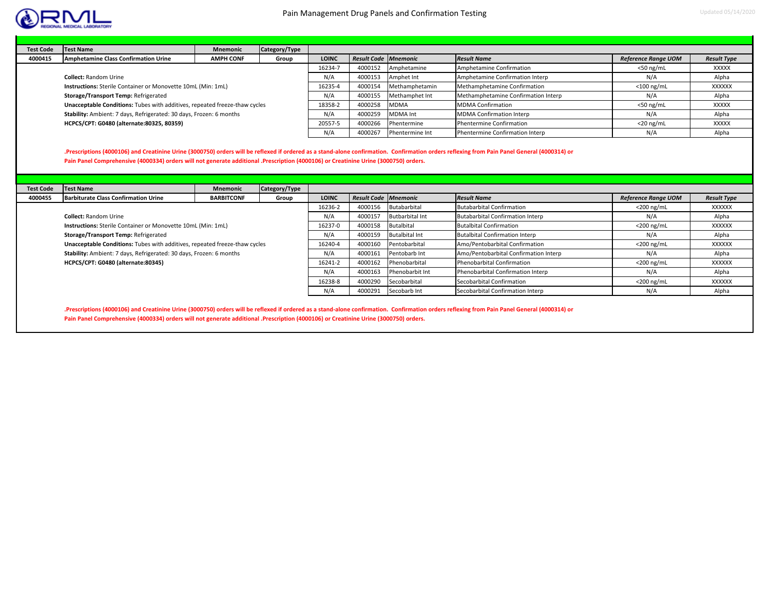



| <b>Test Code</b> | <b>Test Name</b>                                                           | <b>Mnemonic</b>  | Category/Type |              |                             |                 |                                     |                            |                    |
|------------------|----------------------------------------------------------------------------|------------------|---------------|--------------|-----------------------------|-----------------|-------------------------------------|----------------------------|--------------------|
| 4000415          | <b>Amphetamine Class Confirmation Urine</b>                                | <b>AMPH CONF</b> | Group         | <b>LOINC</b> | <b>Result Code Mnemonic</b> |                 | <b>Result Name</b>                  | <b>Reference Range UOM</b> | <b>Result Type</b> |
|                  |                                                                            |                  |               | 16234-7      | 4000152                     | Amphetamine     | Amphetamine Confirmation            | $<$ 50 ng/mL               | XXXXX              |
|                  | <b>Collect: Random Urine</b>                                               |                  |               | N/A          | 4000153                     | Amphet Int      | Amphetamine Confirmation Interp     | N/A                        | Alpha              |
|                  | <b>Instructions:</b> Sterile Container or Monovette 10mL (Min: 1mL)        |                  |               |              | 4000154                     | Methamphetamin  | Methamphetamine Confirmation        | $<$ 100 ng/mL              | XXXXXX             |
|                  | Storage/Transport Temp: Refrigerated                                       |                  |               | N/A          | 4000155                     | Methamphet Int  | Methamphetamine Confirmation Interp | N/A                        | Alpha              |
|                  | Unacceptable Conditions: Tubes with additives, repeated freeze-thaw cycles |                  |               | 18358-2      | 4000258                     | <b>MDMA</b>     | <b>MDMA Confirmation</b>            | $<$ 50 ng/mL               | <b>XXXXX</b>       |
|                  | Stability: Ambient: 7 days, Refrigerated: 30 days, Frozen: 6 months        |                  |               | N/A          | 4000259                     | <b>MDMA</b> Int | <b>MDMA Confirmation Interp</b>     | N/A                        | Alpha              |
|                  | HCPCS/CPT: G0480 (alternate: 80325, 80359)                                 |                  |               | 20557-5      | 4000266                     | Phentermine     | <b>Phentermine Confirmation</b>     | $<$ 20 ng/mL               | <b>XXXXX</b>       |
|                  |                                                                            |                  |               | N/A          | 4000267                     | Phentermine Int | Phentermine Confirmation Interp     | N/A                        | Alpha              |

**.Prescriptions (4000106) and Creatinine Urine (3000750) orders will be reflexed if ordered as a stand‐alone confirmation. Confirmation orders reflexing from Pain Panel General (4000314) or Pain Panel Comprehensive (4000334) orders will not generate additional .Prescription (4000106) or Creatinine Urine (3000750) orders.**

| <b>Test Code</b> | <b>Test Name</b>                                                           | <b>Mnemonic</b>   | Category/Type |              |                             |                        |                                         |                            |                    |
|------------------|----------------------------------------------------------------------------|-------------------|---------------|--------------|-----------------------------|------------------------|-----------------------------------------|----------------------------|--------------------|
| 4000455          | <b>Barbiturate Class Confirmation Urine</b>                                | <b>BARBITCONF</b> | Group         | <b>LOINC</b> | <b>Result Code Mnemonic</b> |                        | <b>Result Name</b>                      | <b>Reference Range UOM</b> | <b>Result Type</b> |
|                  |                                                                            |                   |               | 16236-2      | 4000156                     | Butabarbital           | <b>Butabarbital Confirmation</b>        | $<$ 200 ng/mL              | XXXXXX             |
|                  | <b>Collect: Random Urine</b>                                               |                   |               | N/A          | 4000157                     | <b>Butbarbital Int</b> | <b>Butabarbital Confirmation Interp</b> | N/A                        | Alpha              |
|                  | <b>Instructions:</b> Sterile Container or Monovette 10mL (Min: 1mL)        |                   |               | 16237-0      | 4000158                     | Butalbital             | <b>Butalbital Confirmation</b>          | $<$ 200 ng/mL              | XXXXXX             |
|                  | Storage/Transport Temp: Refrigerated                                       |                   |               | N/A          | 4000159                     | <b>Butalbital Int</b>  | <b>Butalbital Confirmation Interp</b>   | N/A                        | Alpha              |
|                  | Unacceptable Conditions: Tubes with additives, repeated freeze-thaw cycles |                   |               | 16240-4      | 4000160                     | Pentobarbital          | Amo/Pentobarbital Confirmation          | $<$ 200 ng/mL              | XXXXXX             |
|                  | Stability: Ambient: 7 days, Refrigerated: 30 days, Frozen: 6 months        |                   |               | N/A          | 4000161                     | Pentobarb Int          | Amo/Pentobarbital Confirmation Interp   | N/A                        | Alpha              |
|                  | HCPCS/CPT: G0480 (alternate:80345)                                         |                   |               | 16241-2      | 4000162                     | Phenobarbital          | Phenobarbital Confirmation              | $<$ 200 ng/mL              | XXXXXX             |
|                  |                                                                            |                   |               | N/A          | 4000163                     | Phenobarbit Int        | Phenobarbital Confirmation Interp       | N/A                        | Alpha              |
|                  |                                                                            |                   |               | 16238-8      | 4000290                     | Secobarbital           | Secobarbital Confirmation               | $<$ 200 ng/mL              | XXXXXX             |
|                  |                                                                            |                   |               | N/A          | 4000291                     | Secobarb Int           | Secobarbital Confirmation Interp        | N/A                        | Alpha              |

**.Prescriptions (4000106) and Creatinine Urine (3000750) orders will be reflexed if ordered as a stand‐alone confirmation. Confirmation orders reflexing from Pain Panel General (4000314) or Pain Panel Comprehensive (4000334) orders will not generate additional .Prescription (4000106) or Creatinine Urine (3000750) orders.**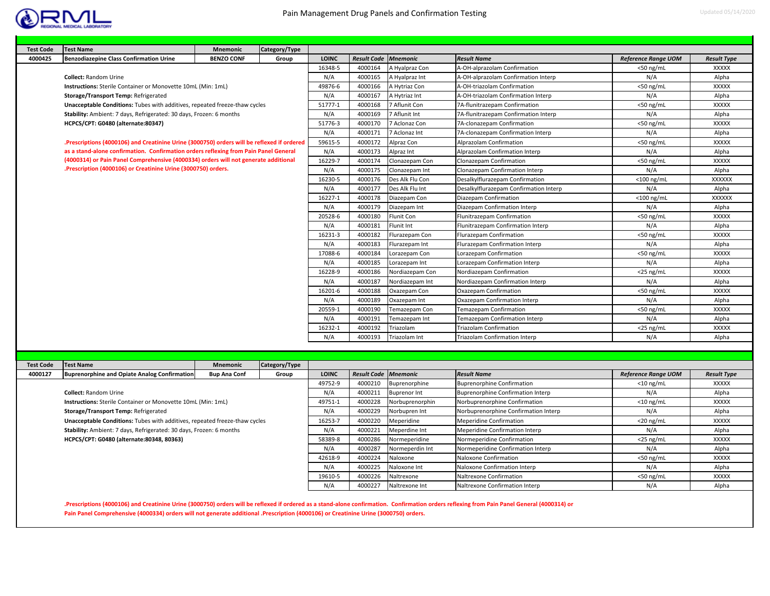

| <b>Test Code</b> | <b>Test Name</b>                                                                                          | <b>Mnemonic</b>   | Category/Type |              |                             |                   |                                        |                            |                    |
|------------------|-----------------------------------------------------------------------------------------------------------|-------------------|---------------|--------------|-----------------------------|-------------------|----------------------------------------|----------------------------|--------------------|
| 4000425          | <b>Benzodiazepine Class Confirmation Urine</b>                                                            | <b>BENZO CONF</b> | Group         | <b>LOINC</b> | <b>Result Code Mnemonic</b> |                   | <b>Result Name</b>                     | <b>Reference Range UOM</b> | <b>Result Type</b> |
|                  |                                                                                                           |                   |               | 16348-5      | 4000164                     | A Hyalpraz Con    | A-OH-alprazolam Confirmation           | $<$ 50 ng/mL               | XXXXX              |
|                  | <b>Collect: Random Urine</b>                                                                              |                   |               | N/A          | 4000165                     | A Hyalpraz Int    | A-OH-alprazolam Confirmation Interp    | N/A                        | Alpha              |
|                  | Instructions: Sterile Container or Monovette 10mL (Min: 1mL)                                              |                   |               | 49876-6      | 4000166                     | A Hytriaz Con     | A-OH-triazolam Confirmation            | $<$ 50 ng/mL               | <b>XXXXX</b>       |
|                  | Storage/Transport Temp: Refrigerated                                                                      |                   |               | N/A          | 4000167                     | A Hytriaz Int     | A-OH-triazolam Confirmation Interp     | N/A                        | Alpha              |
|                  | Unacceptable Conditions: Tubes with additives, repeated freeze-thaw cycles                                |                   |               | 51777-1      | 4000168                     | 7 Aflunit Con     | 7A-flunitrazepam Confirmation          | $<$ 50 ng/mL               | <b>XXXXX</b>       |
|                  | Stability: Ambient: 7 days, Refrigerated: 30 days, Frozen: 6 months<br>HCPCS/CPT: G0480 (alternate:80347) |                   |               |              | 4000169                     | 7 Aflunit Int     | 7A-flunitrazepam Confirmation Interp   | N/A                        | Alpha              |
|                  |                                                                                                           |                   |               |              | 4000170                     | 7 Aclonaz Con     | 7A-clonazepam Confirmation             | $<$ 50 ng/ml               | <b>XXXXX</b>       |
|                  |                                                                                                           |                   |               | N/A          | 4000171                     | 7 Aclonaz Int     | 7A-clonazepam Confirmation Interp      | N/A                        | Alpha              |
|                  | .Prescriptions (4000106) and Creatinine Urine (3000750) orders will be reflexed if ordered                |                   |               | 59615-5      | 4000172                     | Alpraz Con        | Alprazolam Confirmation                | $<$ 50 ng/ml               | <b>XXXXX</b>       |
|                  | as a stand-alone confirmation. Confirmation orders reflexing from Pain Panel General                      |                   |               | N/A          | 4000173                     | Alpraz Int        | Alprazolam Confirmation Interp         | N/A                        | Alpha              |
|                  | (4000314) or Pain Panel Comprehensive (4000334) orders will not generate additional                       |                   |               | 16229-7      | 4000174                     | Clonazepam Con    | Clonazepam Confirmation                | $<$ 50 ng/mL               | <b>XXXXX</b>       |
|                  | .Prescription (4000106) or Creatinine Urine (3000750) orders.                                             |                   |               | N/A          | 4000175                     | Clonazepam Int    | Clonazepam Confirmation Interp         | N/A                        | Alpha              |
|                  |                                                                                                           |                   |               | 16230-5      | 4000176                     | Des Alk Flu Con   | Desalkylflurazepam Confirmation        | $<$ 100 ng/mL              | <b>XXXXXX</b>      |
|                  |                                                                                                           |                   |               | N/A          | 4000177                     | Des Alk Flu Int   | Desalkylflurazepam Confirmation Interp | N/A                        | Alpha              |
|                  |                                                                                                           |                   |               | 16227-1      | 4000178                     | Diazepam Con      | Diazepam Confirmation                  | $<$ 100 ng/mL              | <b>XXXXXX</b>      |
|                  |                                                                                                           |                   |               | N/A          | 4000179                     | Diazepam Int      | Diazepam Confirmation Interp           | N/A                        | Alpha              |
|                  |                                                                                                           |                   |               | 20528-6      | 4000180                     | <b>Flunit Con</b> | Flunitrazepam Confirmation             | $<$ 50 ng/ml               | <b>XXXXX</b>       |
|                  |                                                                                                           |                   |               | N/A          | 4000181                     | Flunit Int        | Flunitrazepam Confirmation Interp      | N/A                        | Alpha              |
|                  |                                                                                                           |                   |               | 16231-3      | 4000182                     | Flurazepam Con    | Flurazepam Confirmation                | $<$ 50 ng/mL               | <b>XXXXX</b>       |
|                  |                                                                                                           |                   |               | N/A          | 4000183                     | Flurazepam Int    | Flurazepam Confirmation Interp         | N/A                        | Alpha              |
|                  |                                                                                                           |                   |               | 17088-6      | 4000184                     | Lorazepam Con     | Lorazepam Confirmation                 | $<$ 50 ng/mL               | <b>XXXXX</b>       |
|                  |                                                                                                           |                   |               | N/A          | 4000185                     | Lorazepam Int     | Lorazepam Confirmation Interp          | N/A                        | Alpha              |
|                  |                                                                                                           |                   |               | 16228-9      | 4000186                     | Nordiazepam Con   | Nordiazepam Confirmation               | $<$ 25 ng/mL               | <b>XXXXX</b>       |
|                  |                                                                                                           |                   |               | N/A          | 4000187                     | Nordiazepam Int   | Nordiazepam Confirmation Interp        | N/A                        | Alpha              |
|                  |                                                                                                           |                   |               | 16201-6      | 4000188                     | Oxazepam Con      | Oxazepam Confirmation                  | $<$ 50 ng/mL               | <b>XXXXX</b>       |
|                  |                                                                                                           |                   |               | N/A          | 4000189                     | Oxazepam Int      | Oxazepam Confirmation Interp           | N/A                        | Alpha              |
|                  |                                                                                                           |                   |               | 20559-1      | 4000190                     | Temazepam Con     | Temazepam Confirmation                 | $<$ 50 ng/ml               | <b>XXXXX</b>       |
|                  |                                                                                                           |                   |               | N/A          | 4000191                     | Temazepam Int     | Temazepam Confirmation Interp          | N/A                        | Alpha              |
|                  |                                                                                                           |                   |               | 16232-1      | 4000192                     | Triazolam         | <b>Triazolam Confirmation</b>          | $<$ 25 ng/mL               | <b>XXXXX</b>       |
|                  |                                                                                                           |                   |               | N/A          | 4000193                     | Triazolam Int     | <b>Triazolam Confirmation Interp</b>   | N/A                        | Alpha              |

| <b>Test Code</b> | <b>Test Name</b>                                                           | <b>Mnemonic</b>     | Category/Type |              |                             |                     |                                      |                            |                    |
|------------------|----------------------------------------------------------------------------|---------------------|---------------|--------------|-----------------------------|---------------------|--------------------------------------|----------------------------|--------------------|
| 4000127          | <b>Buprenorphine and Opiate Analog Confirmation</b>                        | <b>Bup Ana Conf</b> | Group         | <b>LOINC</b> | <b>Result Code Mnemonic</b> |                     | <b>Result Name</b>                   | <b>Reference Range UOM</b> | <b>Result Type</b> |
|                  |                                                                            |                     |               | 49752-9      | 4000210                     | Buprenorphine       | <b>Buprenorphine Confirmation</b>    | $<$ 10 ng/mL               | XXXXX              |
|                  | <b>Collect: Random Urine</b>                                               |                     |               | N/A          | 4000211                     | <b>Buprenor Int</b> | Buprenorphine Confirmation Interp    | N/A                        | Alpha              |
|                  | Instructions: Sterile Container or Monovette 10mL (Min: 1mL)               |                     |               | 49751-1      | 4000228                     | Norbuprenorphin     | Norbuprenorphine Confirmation        | $<$ 10 ng/mL               | <b>XXXXX</b>       |
|                  | Storage/Transport Temp: Refrigerated                                       |                     |               | N/A          | 4000229                     | Norbupren Int       | Norbuprenorphine Confirmation Interp | N/A                        | Alpha              |
|                  | Unacceptable Conditions: Tubes with additives, repeated freeze-thaw cycles |                     |               | 16253-7      | 4000220                     | Meperidine          | <b>Meperidine Confirmation</b>       | $<$ 20 ng/mL               | <b>XXXXX</b>       |
|                  | Stability: Ambient: 7 days, Refrigerated: 30 days, Frozen: 6 months        |                     |               | N/A          | 4000221                     | Meperdine Int       | Meperidine Confirmation Interp       | N/A                        | Alpha              |
|                  | HCPCS/CPT: G0480 (alternate: 80348, 80363)                                 |                     |               | 58389-8      | 4000286                     | Normeperidine       | Normeperidine Confirmation           | $<$ 25 ng/mL               | <b>XXXXX</b>       |
|                  |                                                                            |                     |               | N/A          | 4000287                     | Normeperdin Int     | Normeperidine Confirmation Interp    | N/A                        | Alpha              |
|                  |                                                                            |                     |               | 42618-9      | 4000224                     | Naloxone            | Naloxone Confirmation                | $<$ 50 ng/mL               | <b>XXXXX</b>       |
|                  |                                                                            |                     |               | N/A          | 4000225                     | Naloxone Int        | Naloxone Confirmation Interp         | N/A                        | Alpha              |
|                  |                                                                            |                     |               | 19610-5      | 4000226                     | Naltrexone          | Naltrexone Confirmation              | $<$ 50 ng/mL               | XXXXX              |
|                  |                                                                            |                     |               | N/A          | 4000227                     | Naltrexone Int      | Naltrexone Confirmation Interp       | N/A                        | Alpha              |

**.Prescriptions (4000106) and Creatinine Urine (3000750) orders will be reflexed if ordered as a stand‐alone confirmation. Confirmation orders reflexing from Pain Panel General (4000314) or Pain Panel Comprehensive (4000334) orders will not generate additional .Prescription (4000106) or Creatinine Urine (3000750) orders.**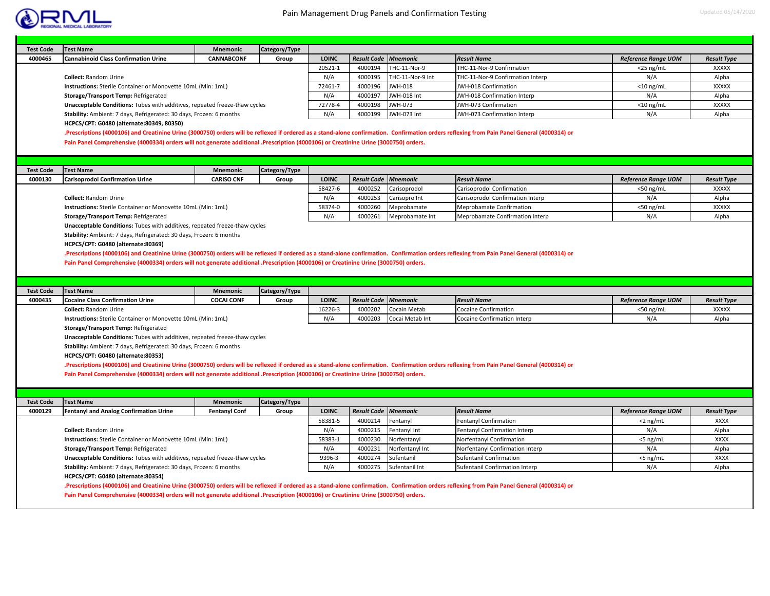

٠

| <b>Test Code</b> | <b>Test Name</b>                                                                                                                                                                                                                           | Mnemonic             | Category/Type |              |                             |                  |                                  |                            |                    |
|------------------|--------------------------------------------------------------------------------------------------------------------------------------------------------------------------------------------------------------------------------------------|----------------------|---------------|--------------|-----------------------------|------------------|----------------------------------|----------------------------|--------------------|
| 4000465          | <b>Cannabinoid Class Confirmation Urine</b>                                                                                                                                                                                                | <b>CANNABCONF</b>    | Group         | <b>LOINC</b> | <b>Result Code</b>          | <b>Mnemonic</b>  | <b>Result Name</b>               | <b>Reference Range UOM</b> | <b>Result Type</b> |
|                  |                                                                                                                                                                                                                                            |                      |               | 20521-1      | 4000194                     | THC-11-Nor-9     | THC-11-Nor-9 Confirmation        | $<$ 25 ng/mL               | <b>XXXXX</b>       |
|                  | <b>Collect: Random Urine</b>                                                                                                                                                                                                               |                      |               | N/A          | 4000195                     | THC-11-Nor-9 Int | THC-11-Nor-9 Confirmation Interp | N/A                        | Alpha              |
|                  | Instructions: Sterile Container or Monovette 10mL (Min: 1mL)                                                                                                                                                                               |                      |               | 72461-7      | 4000196                     | JWH-018          | JWH-018 Confirmation             | $<$ 10 ng/mL               | <b>XXXXX</b>       |
|                  | Storage/Transport Temp: Refrigerated                                                                                                                                                                                                       |                      |               | N/A          | 4000197                     | JWH-018 Int      | JWH-018 Confirmation Interp      | N/A                        | Alpha              |
|                  | Unacceptable Conditions: Tubes with additives, repeated freeze-thaw cycles                                                                                                                                                                 |                      |               | 72778-4      | 4000198                     | JWH-073          | JWH-073 Confirmation             | $<$ 10 ng/mL               | <b>XXXXX</b>       |
|                  | Stability: Ambient: 7 days, Refrigerated: 30 days, Frozen: 6 months                                                                                                                                                                        |                      |               | N/A          | 4000199                     | JWH-073 Int      | JWH-073 Confirmation Interp      | N/A                        | Alpha              |
|                  | HCPCS/CPT: G0480 (alternate: 80349, 80350)<br>.Prescriptions (4000106) and Creatinine Urine (3000750) orders will be reflexed if ordered as a stand-alone confirmation. Confirmation orders reflexing from Pain Panel General (4000314) or |                      |               |              |                             |                  |                                  |                            |                    |
|                  | Pain Panel Comprehensive (4000334) orders will not generate additional .Prescription (4000106) or Creatinine Urine (3000750) orders.                                                                                                       |                      |               |              |                             |                  |                                  |                            |                    |
| <b>Test Code</b> | <b>Test Name</b>                                                                                                                                                                                                                           | <b>Mnemonic</b>      | Category/Type |              |                             |                  |                                  |                            |                    |
| 4000130          | <b>Carisoprodol Confirmation Urine</b>                                                                                                                                                                                                     | <b>CARISO CNF</b>    | Group         | <b>LOINC</b> | <b>Result Code</b>          | <b>Mnemonic</b>  | <b>Result Name</b>               | <b>Reference Range UOM</b> | <b>Result Type</b> |
|                  |                                                                                                                                                                                                                                            |                      |               | 58427-6      | 4000252                     | Carisoprodol     | Carisoprodol Confirmation        | $<$ 50 ng/mL               | XXXXX              |
|                  | <b>Collect: Random Urine</b>                                                                                                                                                                                                               |                      |               | N/A          | 4000253                     | Carisopro Int    | Carisoprodol Confirmation Interp | N/A                        | Alpha              |
|                  | Instructions: Sterile Container or Monovette 10mL (Min: 1mL)                                                                                                                                                                               |                      |               | 58374-0      | 4000260                     | Meprobamate      | <b>Meprobamate Confirmation</b>  | <50 ng/mL                  | <b>XXXXX</b>       |
|                  | Storage/Transport Temp: Refrigerated                                                                                                                                                                                                       |                      |               | N/A          | 4000261                     | Meprobamate Int  | Meprobamate Confirmation Interp  | N/A                        | Alpha              |
|                  | Unacceptable Conditions: Tubes with additives, repeated freeze-thaw cycles                                                                                                                                                                 |                      |               |              |                             |                  |                                  |                            |                    |
|                  |                                                                                                                                                                                                                                            |                      |               |              |                             |                  |                                  |                            |                    |
|                  | Stability: Ambient: 7 days, Refrigerated: 30 days, Frozen: 6 months                                                                                                                                                                        |                      |               |              |                             |                  |                                  |                            |                    |
|                  | HCPCS/CPT: G0480 (alternate:80369)                                                                                                                                                                                                         |                      |               |              |                             |                  |                                  |                            |                    |
|                  | .Prescriptions (4000106) and Creatinine Urine (3000750) orders will be reflexed if ordered as a stand-alone confirmation. Confirmation orders reflexing from Pain Panel General (4000314) or                                               |                      |               |              |                             |                  |                                  |                            |                    |
|                  | Pain Panel Comprehensive (4000334) orders will not generate additional .Prescription (4000106) or Creatinine Urine (3000750) orders.                                                                                                       |                      |               |              |                             |                  |                                  |                            |                    |
|                  |                                                                                                                                                                                                                                            |                      |               |              |                             |                  |                                  |                            |                    |
|                  |                                                                                                                                                                                                                                            |                      |               |              |                             |                  |                                  |                            |                    |
|                  |                                                                                                                                                                                                                                            |                      |               |              |                             |                  |                                  |                            |                    |
| <b>Test Code</b> | <b>Test Name</b>                                                                                                                                                                                                                           | <b>Mnemonic</b>      | Category/Type |              |                             |                  |                                  |                            |                    |
| 4000435          | <b>Cocaine Class Confirmation Urine</b>                                                                                                                                                                                                    | <b>COCAI CONF</b>    | Group         | <b>LOINC</b> | <b>Result Code Mnemonic</b> |                  | <b>Result Name</b>               | <b>Reference Range UOM</b> | <b>Result Type</b> |
|                  | <b>Collect: Random Urine</b>                                                                                                                                                                                                               |                      |               | 16226-3      | 4000202                     | Cocain Metab     | <b>Cocaine Confirmation</b>      | $<$ 50 ng/mL               | <b>XXXXX</b>       |
|                  | Instructions: Sterile Container or Monovette 10mL (Min: 1mL)                                                                                                                                                                               |                      |               | N/A          | 4000203                     | Cocai Metab Int  | Cocaine Confirmation Interp      | N/A                        | Alpha              |
|                  | Storage/Transport Temp: Refrigerated                                                                                                                                                                                                       |                      |               |              |                             |                  |                                  |                            |                    |
|                  | Unacceptable Conditions: Tubes with additives, repeated freeze-thaw cycles                                                                                                                                                                 |                      |               |              |                             |                  |                                  |                            |                    |
|                  | Stability: Ambient: 7 days, Refrigerated: 30 days, Frozen: 6 months                                                                                                                                                                        |                      |               |              |                             |                  |                                  |                            |                    |
|                  | HCPCS/CPT: G0480 (alternate:80353)                                                                                                                                                                                                         |                      |               |              |                             |                  |                                  |                            |                    |
|                  | .Prescriptions (4000106) and Creatinine Urine (3000750) orders will be reflexed if ordered as a stand-alone confirmation. Confirmation orders reflexing from Pain Panel General (4000314) or                                               |                      |               |              |                             |                  |                                  |                            |                    |
|                  | Pain Panel Comprehensive (4000334) orders will not generate additional .Prescription (4000106) or Creatinine Urine (3000750) orders.                                                                                                       |                      |               |              |                             |                  |                                  |                            |                    |
|                  |                                                                                                                                                                                                                                            |                      |               |              |                             |                  |                                  |                            |                    |
|                  |                                                                                                                                                                                                                                            |                      |               |              |                             |                  |                                  |                            |                    |
| <b>Test Code</b> | <b>Test Name</b>                                                                                                                                                                                                                           | <b>Mnemonic</b>      | Category/Type |              |                             |                  |                                  |                            |                    |
| 4000129          | <b>Fentanyl and Analog Confirmation Urine</b>                                                                                                                                                                                              | <b>Fentanyl Conf</b> | Group         | <b>LOINC</b> | <b>Result Code Mnemonic</b> |                  | <b>Result Name</b>               | <b>Reference Range UOM</b> | <b>Result Type</b> |
|                  |                                                                                                                                                                                                                                            |                      |               | 58381-5      | 4000214                     | Fentanyl         | Fentanyl Confirmation            | $<$ 2 ng/mL                | <b>XXXX</b>        |
|                  | <b>Collect: Random Urine</b>                                                                                                                                                                                                               |                      |               | N/A          | 4000215                     | Fentanyl Int     | Fentanyl Confirmation Interp     | N/A                        | Alpha              |
|                  | Instructions: Sterile Container or Monovette 10mL (Min: 1mL)                                                                                                                                                                               |                      |               | 58383-1      | 4000230                     | Norfentanyl      | Norfentanyl Confirmation         | <5 ng/mL                   | <b>XXXX</b>        |
|                  | Storage/Transport Temp: Refrigerated                                                                                                                                                                                                       |                      |               | N/A          | 4000231                     | Norfentanyl Int  | Norfentanyl Confirmation Interp  | N/A                        | Alpha              |
|                  | Unacceptable Conditions: Tubes with additives, repeated freeze-thaw cycles                                                                                                                                                                 |                      |               | 9396-3       | 4000274                     | Sufentanil       | Sufentanil Confirmation          | $<$ 5 ng/mL                | <b>XXXX</b>        |
|                  | Stability: Ambient: 7 days, Refrigerated: 30 days, Frozen: 6 months                                                                                                                                                                        |                      |               | N/A          | 4000275                     | Sufentanil Int   | Sufentanil Confirmation Interp   | N/A                        | Alpha              |
|                  | HCPCS/CPT: G0480 (alternate:80354)                                                                                                                                                                                                         |                      |               |              |                             |                  |                                  |                            |                    |
|                  | .Prescriptions (4000106) and Creatinine Urine (3000750) orders will be reflexed if ordered as a stand-alone confirmation. Confirmation orders reflexing from Pain Panel General (4000314) or                                               |                      |               |              |                             |                  |                                  |                            |                    |
|                  | Pain Panel Comprehensive (4000334) orders will not generate additional .Prescription (4000106) or Creatinine Urine (3000750) orders.                                                                                                       |                      |               |              |                             |                  |                                  |                            |                    |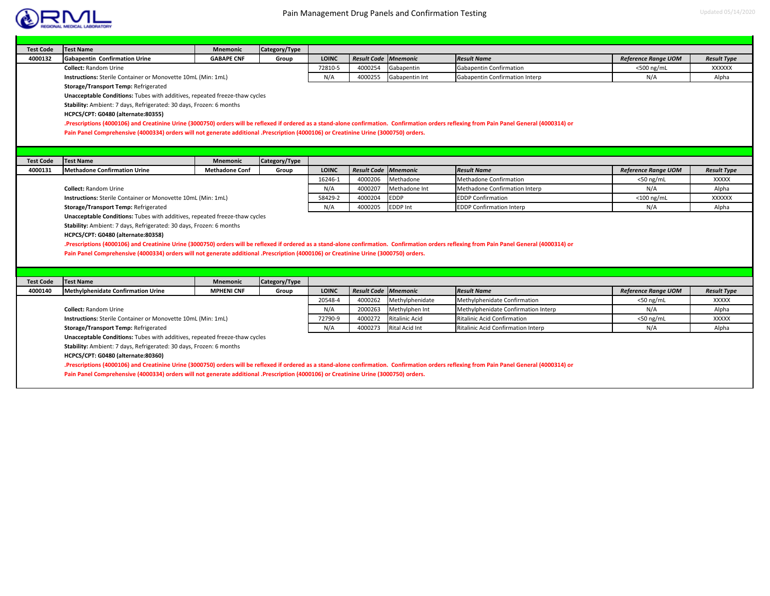

| <b>LOINC</b><br>Result Code Mnemonic<br>4000132<br><b>Gabapentin Confirmation Urine</b><br><b>GABAPE CNF</b><br><b>Result Name</b><br>Group<br>72810-5<br>4000254<br>Gabapentin Confirmation<br><b>Collect: Random Urine</b><br>Gabapentin<br>N/A<br>4000255<br>Instructions: Sterile Container or Monovette 10mL (Min: 1mL)<br>Gabapentin Int<br>Gabapentin Confirmation Interp<br>Storage/Transport Temp: Refrigerated<br>Unacceptable Conditions: Tubes with additives, repeated freeze-thaw cycles<br>Stability: Ambient: 7 days, Refrigerated: 30 days, Frozen: 6 months<br>HCPCS/CPT: G0480 (alternate:80355)<br>.Prescriptions (4000106) and Creatinine Urine (3000750) orders will be reflexed if ordered as a stand-alone confirmation. Confirmation orders reflexing from Pain Panel General (4000314) or<br>Pain Panel Comprehensive (4000334) orders will not generate additional .Prescription (4000106) or Creatinine Urine (3000750) orders.<br><b>Test Name</b><br>Category/Type<br><b>Test Code</b><br><b>Mnemonic</b><br>Result Code Mnemonic<br>4000131<br><b>Methadone Confirmation Urine</b><br><b>LOINC</b><br><b>Result Name</b><br><b>Methadone Conf</b><br>Group<br>4000206<br>16246-1<br>Methadone<br><b>Methadone Confirmation</b><br><b>Collect: Random Urine</b><br>N/A<br>4000207<br>Methadone Int<br>Methadone Confirmation Interp<br>58429-2<br><b>EDDP</b><br>4000204<br><b>EDDP Confirmation</b><br><b>Instructions:</b> Sterile Container or Monovette 10mL (Min: 1mL) | <b>Reference Range UOM</b><br><500 ng/mL<br>N/A<br><b>Reference Range UOM</b><br>$<$ 50 ng/mL<br>N/A<br>$<$ 100 ng/mL | <b>Result Type</b><br><b>XXXXXX</b><br>Alpha<br><b>Result Type</b><br><b>XXXXX</b> |  |  |  |  |  |
|-----------------------------------------------------------------------------------------------------------------------------------------------------------------------------------------------------------------------------------------------------------------------------------------------------------------------------------------------------------------------------------------------------------------------------------------------------------------------------------------------------------------------------------------------------------------------------------------------------------------------------------------------------------------------------------------------------------------------------------------------------------------------------------------------------------------------------------------------------------------------------------------------------------------------------------------------------------------------------------------------------------------------------------------------------------------------------------------------------------------------------------------------------------------------------------------------------------------------------------------------------------------------------------------------------------------------------------------------------------------------------------------------------------------------------------------------------------------------------------------------------------|-----------------------------------------------------------------------------------------------------------------------|------------------------------------------------------------------------------------|--|--|--|--|--|
|                                                                                                                                                                                                                                                                                                                                                                                                                                                                                                                                                                                                                                                                                                                                                                                                                                                                                                                                                                                                                                                                                                                                                                                                                                                                                                                                                                                                                                                                                                           |                                                                                                                       |                                                                                    |  |  |  |  |  |
|                                                                                                                                                                                                                                                                                                                                                                                                                                                                                                                                                                                                                                                                                                                                                                                                                                                                                                                                                                                                                                                                                                                                                                                                                                                                                                                                                                                                                                                                                                           |                                                                                                                       |                                                                                    |  |  |  |  |  |
|                                                                                                                                                                                                                                                                                                                                                                                                                                                                                                                                                                                                                                                                                                                                                                                                                                                                                                                                                                                                                                                                                                                                                                                                                                                                                                                                                                                                                                                                                                           |                                                                                                                       |                                                                                    |  |  |  |  |  |
|                                                                                                                                                                                                                                                                                                                                                                                                                                                                                                                                                                                                                                                                                                                                                                                                                                                                                                                                                                                                                                                                                                                                                                                                                                                                                                                                                                                                                                                                                                           |                                                                                                                       |                                                                                    |  |  |  |  |  |
|                                                                                                                                                                                                                                                                                                                                                                                                                                                                                                                                                                                                                                                                                                                                                                                                                                                                                                                                                                                                                                                                                                                                                                                                                                                                                                                                                                                                                                                                                                           |                                                                                                                       |                                                                                    |  |  |  |  |  |
|                                                                                                                                                                                                                                                                                                                                                                                                                                                                                                                                                                                                                                                                                                                                                                                                                                                                                                                                                                                                                                                                                                                                                                                                                                                                                                                                                                                                                                                                                                           |                                                                                                                       |                                                                                    |  |  |  |  |  |
|                                                                                                                                                                                                                                                                                                                                                                                                                                                                                                                                                                                                                                                                                                                                                                                                                                                                                                                                                                                                                                                                                                                                                                                                                                                                                                                                                                                                                                                                                                           |                                                                                                                       |                                                                                    |  |  |  |  |  |
|                                                                                                                                                                                                                                                                                                                                                                                                                                                                                                                                                                                                                                                                                                                                                                                                                                                                                                                                                                                                                                                                                                                                                                                                                                                                                                                                                                                                                                                                                                           |                                                                                                                       |                                                                                    |  |  |  |  |  |
|                                                                                                                                                                                                                                                                                                                                                                                                                                                                                                                                                                                                                                                                                                                                                                                                                                                                                                                                                                                                                                                                                                                                                                                                                                                                                                                                                                                                                                                                                                           |                                                                                                                       |                                                                                    |  |  |  |  |  |
|                                                                                                                                                                                                                                                                                                                                                                                                                                                                                                                                                                                                                                                                                                                                                                                                                                                                                                                                                                                                                                                                                                                                                                                                                                                                                                                                                                                                                                                                                                           |                                                                                                                       |                                                                                    |  |  |  |  |  |
|                                                                                                                                                                                                                                                                                                                                                                                                                                                                                                                                                                                                                                                                                                                                                                                                                                                                                                                                                                                                                                                                                                                                                                                                                                                                                                                                                                                                                                                                                                           |                                                                                                                       |                                                                                    |  |  |  |  |  |
|                                                                                                                                                                                                                                                                                                                                                                                                                                                                                                                                                                                                                                                                                                                                                                                                                                                                                                                                                                                                                                                                                                                                                                                                                                                                                                                                                                                                                                                                                                           |                                                                                                                       |                                                                                    |  |  |  |  |  |
|                                                                                                                                                                                                                                                                                                                                                                                                                                                                                                                                                                                                                                                                                                                                                                                                                                                                                                                                                                                                                                                                                                                                                                                                                                                                                                                                                                                                                                                                                                           |                                                                                                                       |                                                                                    |  |  |  |  |  |
|                                                                                                                                                                                                                                                                                                                                                                                                                                                                                                                                                                                                                                                                                                                                                                                                                                                                                                                                                                                                                                                                                                                                                                                                                                                                                                                                                                                                                                                                                                           |                                                                                                                       | Alpha                                                                              |  |  |  |  |  |
|                                                                                                                                                                                                                                                                                                                                                                                                                                                                                                                                                                                                                                                                                                                                                                                                                                                                                                                                                                                                                                                                                                                                                                                                                                                                                                                                                                                                                                                                                                           |                                                                                                                       | <b>XXXXXX</b>                                                                      |  |  |  |  |  |
| 4000205<br><b>EDDP Int</b><br><b>EDDP Confirmation Interp</b><br>Storage/Transport Temp: Refrigerated<br>N/A                                                                                                                                                                                                                                                                                                                                                                                                                                                                                                                                                                                                                                                                                                                                                                                                                                                                                                                                                                                                                                                                                                                                                                                                                                                                                                                                                                                              | N/A                                                                                                                   | Alpha                                                                              |  |  |  |  |  |
| Unacceptable Conditions: Tubes with additives, repeated freeze-thaw cycles                                                                                                                                                                                                                                                                                                                                                                                                                                                                                                                                                                                                                                                                                                                                                                                                                                                                                                                                                                                                                                                                                                                                                                                                                                                                                                                                                                                                                                |                                                                                                                       |                                                                                    |  |  |  |  |  |
| Stability: Ambient: 7 days, Refrigerated: 30 days, Frozen: 6 months                                                                                                                                                                                                                                                                                                                                                                                                                                                                                                                                                                                                                                                                                                                                                                                                                                                                                                                                                                                                                                                                                                                                                                                                                                                                                                                                                                                                                                       |                                                                                                                       |                                                                                    |  |  |  |  |  |
| HCPCS/CPT: G0480 (alternate:80358)                                                                                                                                                                                                                                                                                                                                                                                                                                                                                                                                                                                                                                                                                                                                                                                                                                                                                                                                                                                                                                                                                                                                                                                                                                                                                                                                                                                                                                                                        |                                                                                                                       |                                                                                    |  |  |  |  |  |
| .Prescriptions (4000106) and Creatinine Urine (3000750) orders will be reflexed if ordered as a stand-alone confirmation. Confirmation orders reflexing from Pain Panel General (4000314) or                                                                                                                                                                                                                                                                                                                                                                                                                                                                                                                                                                                                                                                                                                                                                                                                                                                                                                                                                                                                                                                                                                                                                                                                                                                                                                              |                                                                                                                       |                                                                                    |  |  |  |  |  |
| Pain Panel Comprehensive (4000334) orders will not generate additional .Prescription (4000106) or Creatinine Urine (3000750) orders.                                                                                                                                                                                                                                                                                                                                                                                                                                                                                                                                                                                                                                                                                                                                                                                                                                                                                                                                                                                                                                                                                                                                                                                                                                                                                                                                                                      |                                                                                                                       |                                                                                    |  |  |  |  |  |
|                                                                                                                                                                                                                                                                                                                                                                                                                                                                                                                                                                                                                                                                                                                                                                                                                                                                                                                                                                                                                                                                                                                                                                                                                                                                                                                                                                                                                                                                                                           |                                                                                                                       |                                                                                    |  |  |  |  |  |
|                                                                                                                                                                                                                                                                                                                                                                                                                                                                                                                                                                                                                                                                                                                                                                                                                                                                                                                                                                                                                                                                                                                                                                                                                                                                                                                                                                                                                                                                                                           |                                                                                                                       |                                                                                    |  |  |  |  |  |
| <b>Test Code</b><br>Category/Type<br><b>Test Name</b><br><b>Mnemonic</b>                                                                                                                                                                                                                                                                                                                                                                                                                                                                                                                                                                                                                                                                                                                                                                                                                                                                                                                                                                                                                                                                                                                                                                                                                                                                                                                                                                                                                                  |                                                                                                                       |                                                                                    |  |  |  |  |  |
| 4000140<br><b>Methylphenidate Confirmation Urine</b><br><b>MPHENI CNF</b><br><b>LOINC</b><br><b>Result Code Mnemonic</b><br><b>Result Name</b><br>Group                                                                                                                                                                                                                                                                                                                                                                                                                                                                                                                                                                                                                                                                                                                                                                                                                                                                                                                                                                                                                                                                                                                                                                                                                                                                                                                                                   | <b>Reference Range UOM</b>                                                                                            | <b>Result Type</b>                                                                 |  |  |  |  |  |
| 20548-4<br>4000262<br>Methylphenidate<br>Methylphenidate Confirmation                                                                                                                                                                                                                                                                                                                                                                                                                                                                                                                                                                                                                                                                                                                                                                                                                                                                                                                                                                                                                                                                                                                                                                                                                                                                                                                                                                                                                                     | $<$ 50 ng/mL                                                                                                          | XXXXX                                                                              |  |  |  |  |  |
| <b>Collect: Random Urine</b><br>N/A<br>2000263<br>Methylphen Int<br>Methylphenidate Confirmation Interp                                                                                                                                                                                                                                                                                                                                                                                                                                                                                                                                                                                                                                                                                                                                                                                                                                                                                                                                                                                                                                                                                                                                                                                                                                                                                                                                                                                                   | N/A                                                                                                                   | Alpha                                                                              |  |  |  |  |  |
| 72790-9<br>4000272<br>Ritalinic Acid<br><b>Ritalinic Acid Confirmation</b><br>Instructions: Sterile Container or Monovette 10mL (Min: 1mL)                                                                                                                                                                                                                                                                                                                                                                                                                                                                                                                                                                                                                                                                                                                                                                                                                                                                                                                                                                                                                                                                                                                                                                                                                                                                                                                                                                | <50 ng/mL                                                                                                             | <b>XXXXX</b>                                                                       |  |  |  |  |  |
| N/A<br>4000273<br>Rital Acid Int<br>Ritalinic Acid Confirmation Interp<br>Storage/Transport Temp: Refrigerated                                                                                                                                                                                                                                                                                                                                                                                                                                                                                                                                                                                                                                                                                                                                                                                                                                                                                                                                                                                                                                                                                                                                                                                                                                                                                                                                                                                            | N/A                                                                                                                   | Alpha                                                                              |  |  |  |  |  |
| Unacceptable Conditions: Tubes with additives, repeated freeze-thaw cycles                                                                                                                                                                                                                                                                                                                                                                                                                                                                                                                                                                                                                                                                                                                                                                                                                                                                                                                                                                                                                                                                                                                                                                                                                                                                                                                                                                                                                                |                                                                                                                       |                                                                                    |  |  |  |  |  |
| Stability: Ambient: 7 days, Refrigerated: 30 days, Frozen: 6 months                                                                                                                                                                                                                                                                                                                                                                                                                                                                                                                                                                                                                                                                                                                                                                                                                                                                                                                                                                                                                                                                                                                                                                                                                                                                                                                                                                                                                                       |                                                                                                                       |                                                                                    |  |  |  |  |  |
| HCPCS/CPT: G0480 (alternate:80360)                                                                                                                                                                                                                                                                                                                                                                                                                                                                                                                                                                                                                                                                                                                                                                                                                                                                                                                                                                                                                                                                                                                                                                                                                                                                                                                                                                                                                                                                        |                                                                                                                       |                                                                                    |  |  |  |  |  |
| .Prescriptions (4000106) and Creatinine Urine (3000750) orders will be reflexed if ordered as a stand-alone confirmation. Confirmation orders reflexing from Pain Panel General (4000314) or                                                                                                                                                                                                                                                                                                                                                                                                                                                                                                                                                                                                                                                                                                                                                                                                                                                                                                                                                                                                                                                                                                                                                                                                                                                                                                              |                                                                                                                       |                                                                                    |  |  |  |  |  |
| Pain Panel Comprehensive (4000334) orders will not generate additional .Prescription (4000106) or Creatinine Urine (3000750) orders.                                                                                                                                                                                                                                                                                                                                                                                                                                                                                                                                                                                                                                                                                                                                                                                                                                                                                                                                                                                                                                                                                                                                                                                                                                                                                                                                                                      |                                                                                                                       |                                                                                    |  |  |  |  |  |
|                                                                                                                                                                                                                                                                                                                                                                                                                                                                                                                                                                                                                                                                                                                                                                                                                                                                                                                                                                                                                                                                                                                                                                                                                                                                                                                                                                                                                                                                                                           |                                                                                                                       |                                                                                    |  |  |  |  |  |
|                                                                                                                                                                                                                                                                                                                                                                                                                                                                                                                                                                                                                                                                                                                                                                                                                                                                                                                                                                                                                                                                                                                                                                                                                                                                                                                                                                                                                                                                                                           |                                                                                                                       |                                                                                    |  |  |  |  |  |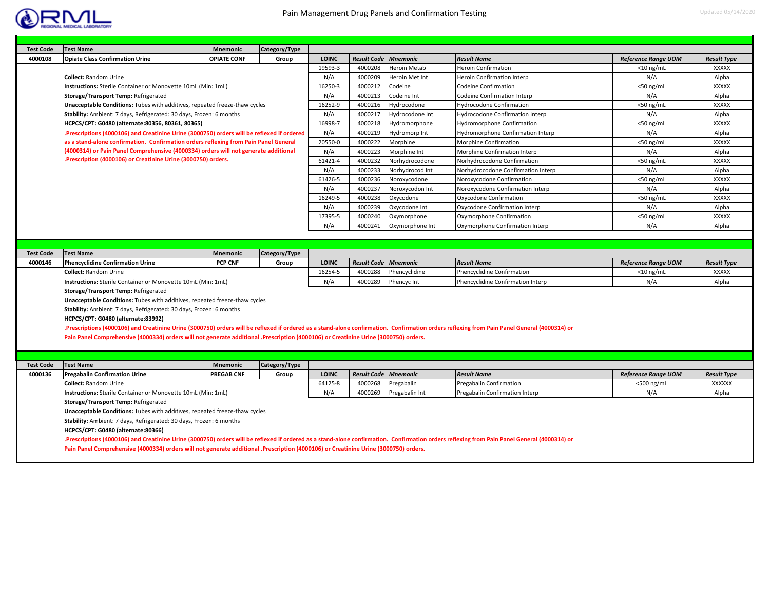

| <b>Test Code</b> | <b>Test Name</b>                                                                                                                                                                                                                                                                                                                                                                                                                                                                                                                                                       | <b>Mnemonic</b>    | Category/Type |              |                             |                 |                                    |                            |                    |
|------------------|------------------------------------------------------------------------------------------------------------------------------------------------------------------------------------------------------------------------------------------------------------------------------------------------------------------------------------------------------------------------------------------------------------------------------------------------------------------------------------------------------------------------------------------------------------------------|--------------------|---------------|--------------|-----------------------------|-----------------|------------------------------------|----------------------------|--------------------|
| 4000108          | <b>Opiate Class Confirmation Urine</b>                                                                                                                                                                                                                                                                                                                                                                                                                                                                                                                                 | <b>OPIATE CONF</b> | Group         | <b>LOINC</b> | <b>Result Code</b>          | <b>Mnemonic</b> | <b>Result Name</b>                 | <b>Reference Range UOM</b> | <b>Result Type</b> |
|                  |                                                                                                                                                                                                                                                                                                                                                                                                                                                                                                                                                                        |                    |               | 19593-3      | 4000208                     | Heroin Metab    | Heroin Confirmation                | $<$ 10 ng/mL               | <b>XXXXX</b>       |
|                  | <b>Collect: Random Urine</b>                                                                                                                                                                                                                                                                                                                                                                                                                                                                                                                                           |                    |               | N/A          | 4000209                     | Heroin Met Int  | <b>Heroin Confirmation Interp</b>  | N/A                        | Alpha              |
|                  | Instructions: Sterile Container or Monovette 10mL (Min: 1mL)                                                                                                                                                                                                                                                                                                                                                                                                                                                                                                           |                    |               | 16250-3      | 4000212                     | Codeine         | <b>Codeine Confirmation</b>        | $<$ 50 ng/mL               | <b>XXXXX</b>       |
|                  | Storage/Transport Temp: Refrigerated                                                                                                                                                                                                                                                                                                                                                                                                                                                                                                                                   |                    |               | N/A          | 4000213                     | Codeine Int     | Codeine Confirmation Interp        | N/A                        | Alpha              |
|                  | Unacceptable Conditions: Tubes with additives, repeated freeze-thaw cycles                                                                                                                                                                                                                                                                                                                                                                                                                                                                                             |                    |               | 16252-9      | 4000216                     | Hydrocodone     | <b>Hydrocodone Confirmation</b>    | $<$ 50 ng/mL               | <b>XXXXX</b>       |
|                  | Stability: Ambient: 7 days, Refrigerated: 30 days, Frozen: 6 months                                                                                                                                                                                                                                                                                                                                                                                                                                                                                                    |                    |               | N/A          | 4000217                     | Hydrocodone Int | Hydrocodone Confirmation Interp    | N/A                        | Alpha              |
|                  | HCPCS/CPT: G0480 (alternate:80356, 80361, 80365)                                                                                                                                                                                                                                                                                                                                                                                                                                                                                                                       |                    |               | 16998-7      | 4000218                     | Hydromorphone   | Hydromorphone Confirmation         | $<$ 50 ng/mL               | <b>XXXXX</b>       |
|                  | .Prescriptions (4000106) and Creatinine Urine (3000750) orders will be reflexed if ordered                                                                                                                                                                                                                                                                                                                                                                                                                                                                             |                    |               | N/A          | 4000219                     | Hydromorp Int   | Hydromorphone Confirmation Interp  | N/A                        | Alpha              |
|                  | as a stand-alone confirmation. Confirmation orders reflexing from Pain Panel General                                                                                                                                                                                                                                                                                                                                                                                                                                                                                   |                    |               | 20550-0      | 4000222                     | Morphine        | <b>Morphine Confirmation</b>       | $<$ 50 ng/mL               | <b>XXXXX</b>       |
|                  | (4000314) or Pain Panel Comprehensive (4000334) orders will not generate additional                                                                                                                                                                                                                                                                                                                                                                                                                                                                                    |                    |               | N/A          | 4000223                     | Morphine Int    | Morphine Confirmation Interp       | N/A                        | Alpha              |
|                  | .Prescription (4000106) or Creatinine Urine (3000750) orders.                                                                                                                                                                                                                                                                                                                                                                                                                                                                                                          |                    |               | 61421-4      | 4000232                     | Norhydrocodone  | Norhydrocodone Confirmation        | $<$ 50 ng/mL               | <b>XXXXX</b>       |
|                  |                                                                                                                                                                                                                                                                                                                                                                                                                                                                                                                                                                        |                    |               | N/A          | 4000233                     | Norhydrocod Int | Norhydrocodone Confirmation Interp | N/A                        | Alpha              |
|                  |                                                                                                                                                                                                                                                                                                                                                                                                                                                                                                                                                                        |                    |               | 61426-5      | 4000236                     | Noroxycodone    | Noroxycodone Confirmation          | $<$ 50 ng/mL               | <b>XXXXX</b>       |
|                  |                                                                                                                                                                                                                                                                                                                                                                                                                                                                                                                                                                        |                    |               | N/A          | 4000237                     | Noroxycodon Int | Noroxycodone Confirmation Interp   | N/A                        | Alpha              |
|                  |                                                                                                                                                                                                                                                                                                                                                                                                                                                                                                                                                                        |                    |               | 16249-5      | 4000238                     | Oxycodone       | Oxycodone Confirmation             | $<$ 50 ng/mL               | <b>XXXXX</b>       |
|                  |                                                                                                                                                                                                                                                                                                                                                                                                                                                                                                                                                                        |                    |               | N/A          | 4000239                     | Oxycodone Int   | Oxycodone Confirmation Interp      | N/A                        | Alpha              |
|                  |                                                                                                                                                                                                                                                                                                                                                                                                                                                                                                                                                                        |                    |               | 17395-5      | 4000240                     | Oxymorphone     | Oxymorphone Confirmation           | $<$ 50 ng/mL               | <b>XXXXX</b>       |
|                  |                                                                                                                                                                                                                                                                                                                                                                                                                                                                                                                                                                        |                    |               | N/A          | 4000241                     | Oxymorphone Int | Oxymorphone Confirmation Interp    | N/A                        | Alpha              |
|                  |                                                                                                                                                                                                                                                                                                                                                                                                                                                                                                                                                                        |                    |               |              |                             |                 |                                    |                            |                    |
|                  |                                                                                                                                                                                                                                                                                                                                                                                                                                                                                                                                                                        |                    |               |              |                             |                 |                                    |                            |                    |
| <b>Test Code</b> | <b>Test Name</b>                                                                                                                                                                                                                                                                                                                                                                                                                                                                                                                                                       | <b>Mnemonic</b>    | Category/Type |              |                             |                 |                                    |                            |                    |
| 4000146          | <b>Phencyclidine Confirmation Urine</b>                                                                                                                                                                                                                                                                                                                                                                                                                                                                                                                                | <b>PCP CNF</b>     | Group         | <b>LOINC</b> | <b>Result Code</b>          | <b>Mnemonic</b> | <b>Result Name</b>                 | <b>Reference Range UOM</b> | <b>Result Type</b> |
|                  | <b>Collect: Random Urine</b>                                                                                                                                                                                                                                                                                                                                                                                                                                                                                                                                           |                    |               | 16254-5      | 4000288                     | Phencyclidine   | Phencyclidine Confirmation         | $<$ 10 ng/mL               | <b>XXXXX</b>       |
|                  | Instructions: Sterile Container or Monovette 10mL (Min: 1mL)<br>Storage/Transport Temp: Refrigerated                                                                                                                                                                                                                                                                                                                                                                                                                                                                   |                    |               | N/A          | 4000289                     | Phencyc Int     | Phencyclidine Confirmation Interp  | N/A                        | Alpha              |
|                  | Unacceptable Conditions: Tubes with additives, repeated freeze-thaw cycles<br>Stability: Ambient: 7 days, Refrigerated: 30 days, Frozen: 6 months<br>HCPCS/CPT: G0480 (alternate:83992)<br>.Prescriptions (4000106) and Creatinine Urine (3000750) orders will be reflexed if ordered as a stand-alone confirmation. Confirmation orders reflexing from Pain Panel General (4000314) or<br>Pain Panel Comprehensive (4000334) orders will not generate additional .Prescription (4000106) or Creatinine Urine (3000750) orders.                                        |                    |               |              |                             |                 |                                    |                            |                    |
|                  |                                                                                                                                                                                                                                                                                                                                                                                                                                                                                                                                                                        |                    |               |              |                             |                 |                                    |                            |                    |
| <b>Test Code</b> | <b>Test Name</b>                                                                                                                                                                                                                                                                                                                                                                                                                                                                                                                                                       | <b>Mnemonic</b>    | Category/Type |              |                             |                 |                                    |                            |                    |
| 4000136          | <b>Pregabalin Confirmation Urine</b>                                                                                                                                                                                                                                                                                                                                                                                                                                                                                                                                   | <b>PREGAB CNF</b>  | Group         | <b>LOINC</b> | <b>Result Code Mnemonic</b> |                 | <b>Result Name</b>                 | <b>Reference Range UOM</b> | <b>Result Type</b> |
|                  | <b>Collect: Random Urine</b>                                                                                                                                                                                                                                                                                                                                                                                                                                                                                                                                           |                    |               | 64125-8      | 4000268                     | Pregabalin      | Pregabalin Confirmation            | <500 ng/mL                 | <b>XXXXXX</b>      |
|                  | Instructions: Sterile Container or Monovette 10mL (Min: 1mL)                                                                                                                                                                                                                                                                                                                                                                                                                                                                                                           |                    |               | N/A          | 4000269                     | Pregabalin Int  | Pregabalin Confirmation Interp     | N/A                        | Alpha              |
|                  | Storage/Transport Temp: Refrigerated<br>Unacceptable Conditions: Tubes with additives, repeated freeze-thaw cycles<br>Stability: Ambient: 7 days, Refrigerated: 30 days, Frozen: 6 months<br>HCPCS/CPT: G0480 (alternate:80366)<br>Prescriptions (4000106) and Creatinine Urine (3000750) orders will be reflexed if ordered as a stand-alone confirmation. Confirmation orders reflexing from Pain Panel General (4000314) or<br>Pain Panel Comprehensive (4000334) orders will not generate additional .Prescription (4000106) or Creatinine Urine (3000750) orders. |                    |               |              |                             |                 |                                    |                            |                    |
|                  |                                                                                                                                                                                                                                                                                                                                                                                                                                                                                                                                                                        |                    |               |              |                             |                 |                                    |                            |                    |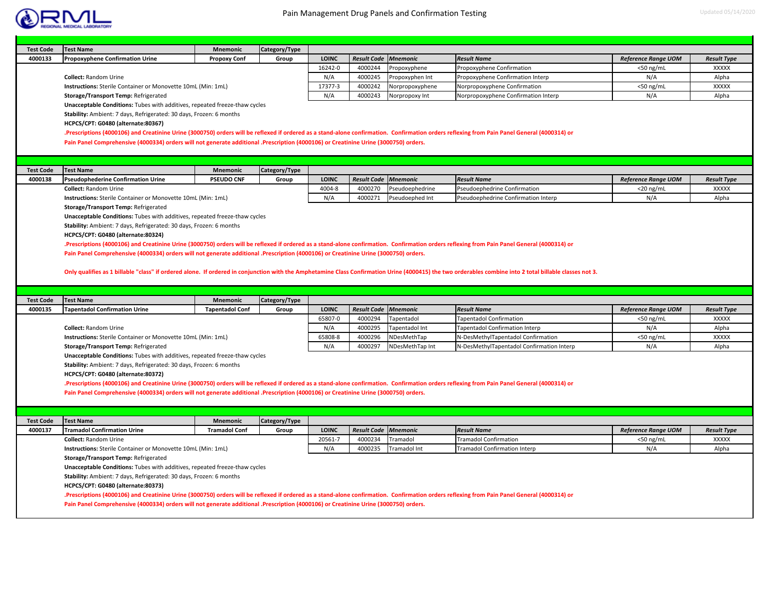

|                  | <b>Test Name</b>                                                                                                                                                                             | <b>Mnemonic</b>        | Category/Type |                         |                                        |                                |                                                                                                                                                                                                          |                            |                                    |
|------------------|----------------------------------------------------------------------------------------------------------------------------------------------------------------------------------------------|------------------------|---------------|-------------------------|----------------------------------------|--------------------------------|----------------------------------------------------------------------------------------------------------------------------------------------------------------------------------------------------------|----------------------------|------------------------------------|
| 4000133          | <b>Propoxyphene Confirmation Urine</b>                                                                                                                                                       | <b>Propoxy Conf</b>    | Group         | <b>LOINC</b>            | <b>Result Code</b>                     | <b>Mnemonic</b>                | <b>Result Name</b>                                                                                                                                                                                       | <b>Reference Range UOM</b> | <b>Result Type</b>                 |
|                  |                                                                                                                                                                                              |                        |               | 16242-0                 | 4000244                                | Propoxyphene                   | Propoxyphene Confirmation                                                                                                                                                                                | $<$ 50 ng/mL               | <b>XXXXX</b>                       |
|                  | <b>Collect: Random Urine</b>                                                                                                                                                                 |                        |               | N/A                     | 4000245                                | Propoxyphen Int                | Propoxyphene Confirmation Interp                                                                                                                                                                         | N/A                        | Alpha                              |
|                  | Instructions: Sterile Container or Monovette 10mL (Min: 1mL)                                                                                                                                 |                        |               | 17377-3                 | 4000242                                | Norpropoxyphene                | Norpropoxyphene Confirmation                                                                                                                                                                             | $<$ 50 ng/mL               | <b>XXXXX</b>                       |
|                  | Storage/Transport Temp: Refrigerated                                                                                                                                                         |                        |               | N/A                     | 4000243                                | Norpropoxy Int                 | Norpropoxyphene Confirmation Interp                                                                                                                                                                      | N/A                        | Alpha                              |
|                  | Unacceptable Conditions: Tubes with additives, repeated freeze-thaw cycles                                                                                                                   |                        |               |                         |                                        |                                |                                                                                                                                                                                                          |                            |                                    |
|                  | Stability: Ambient: 7 days, Refrigerated: 30 days, Frozen: 6 months                                                                                                                          |                        |               |                         |                                        |                                |                                                                                                                                                                                                          |                            |                                    |
|                  | HCPCS/CPT: G0480 (alternate:80367)                                                                                                                                                           |                        |               |                         |                                        |                                |                                                                                                                                                                                                          |                            |                                    |
|                  | Prescriptions (4000106) and Creatinine Urine (3000750) orders will be reflexed if ordered as a stand-alone confirmation. Confirmation orders reflexing from Pain Panel General (4000314) or  |                        |               |                         |                                        |                                |                                                                                                                                                                                                          |                            |                                    |
|                  | Pain Panel Comprehensive (4000334) orders will not generate additional .Prescription (4000106) or Creatinine Urine (3000750) orders.                                                         |                        |               |                         |                                        |                                |                                                                                                                                                                                                          |                            |                                    |
|                  |                                                                                                                                                                                              |                        |               |                         |                                        |                                |                                                                                                                                                                                                          |                            |                                    |
|                  |                                                                                                                                                                                              |                        |               |                         |                                        |                                |                                                                                                                                                                                                          |                            |                                    |
| <b>Test Code</b> | <b>Test Name</b>                                                                                                                                                                             | <b>Mnemonic</b>        | Category/Type |                         |                                        |                                |                                                                                                                                                                                                          |                            |                                    |
| 4000138          | <b>Pseudophederine Confirmation Urine</b>                                                                                                                                                    | <b>PSEUDO CNF</b>      | Group         | <b>LOINC</b>            | <b>Result Code</b>                     | <b>Mnemonic</b>                | <b>Result Name</b>                                                                                                                                                                                       | <b>Reference Range UOM</b> | <b>Result Type</b>                 |
|                  | <b>Collect: Random Urine</b>                                                                                                                                                                 |                        |               | 4004-8                  | 4000270                                | Pseudoephedrine                | Pseudoephedrine Confirmation                                                                                                                                                                             | $<$ 20 ng/mL               | <b>XXXXX</b>                       |
|                  | Instructions: Sterile Container or Monovette 10mL (Min: 1mL)                                                                                                                                 |                        |               | N/A                     | 4000271                                | Pseudoephed Int                | Pseudoephedrine Confirmation Interp                                                                                                                                                                      | N/A                        | Alpha                              |
|                  | Storage/Transport Temp: Refrigerated                                                                                                                                                         |                        |               |                         |                                        |                                |                                                                                                                                                                                                          |                            |                                    |
|                  | Unacceptable Conditions: Tubes with additives, repeated freeze-thaw cycles                                                                                                                   |                        |               |                         |                                        |                                |                                                                                                                                                                                                          |                            |                                    |
|                  | Stability: Ambient: 7 days, Refrigerated: 30 days, Frozen: 6 months                                                                                                                          |                        |               |                         |                                        |                                |                                                                                                                                                                                                          |                            |                                    |
|                  | HCPCS/CPT: G0480 (alternate:80324)                                                                                                                                                           |                        |               |                         |                                        |                                |                                                                                                                                                                                                          |                            |                                    |
|                  | .Prescriptions (4000106) and Creatinine Urine (3000750) orders will be reflexed if ordered as a stand-alone confirmation. Confirmation orders reflexing from Pain Panel General (4000314) or |                        |               |                         |                                        |                                |                                                                                                                                                                                                          |                            |                                    |
|                  | Pain Panel Comprehensive (4000334) orders will not generate additional .Prescription (4000106) or Creatinine Urine (3000750) orders.                                                         |                        |               |                         |                                        |                                |                                                                                                                                                                                                          |                            |                                    |
|                  |                                                                                                                                                                                              |                        |               |                         |                                        |                                |                                                                                                                                                                                                          |                            |                                    |
|                  |                                                                                                                                                                                              |                        |               |                         |                                        |                                | Only qualifies as 1 billable "class" if ordered alone. If ordered in conjunction with the Amphetamine Class Confirmation Urine (4000415) the two orderables combine into 2 total billable classes not 3. |                            |                                    |
|                  |                                                                                                                                                                                              |                        |               |                         |                                        |                                |                                                                                                                                                                                                          |                            |                                    |
|                  |                                                                                                                                                                                              |                        |               |                         |                                        |                                |                                                                                                                                                                                                          |                            |                                    |
|                  |                                                                                                                                                                                              |                        |               |                         |                                        |                                |                                                                                                                                                                                                          |                            |                                    |
| <b>Test Code</b> | <b>Test Name</b>                                                                                                                                                                             | <b>Mnemonic</b>        | Category/Type |                         |                                        |                                |                                                                                                                                                                                                          |                            |                                    |
| 4000135          | <b>Tapentadol Confirmation Urine</b>                                                                                                                                                         | <b>Tapentadol Conf</b> | Group         | <b>LOINC</b><br>65807-0 | <b>Result Code Mnemonic</b><br>4000294 |                                | <b>Result Name</b>                                                                                                                                                                                       | <b>Reference Range UOM</b> | <b>Result Type</b><br><b>XXXXX</b> |
|                  | <b>Collect: Random Urine</b>                                                                                                                                                                 |                        |               | N/A                     | 4000295                                | Tapentadol                     | <b>Fapentadol Confirmation</b>                                                                                                                                                                           | $<$ 50 ng/mL<br>N/A        |                                    |
|                  |                                                                                                                                                                                              |                        |               |                         |                                        | Tapentadol Int                 | Tapentadol Confirmation Interp                                                                                                                                                                           |                            | Alpha                              |
|                  | Instructions: Sterile Container or Monovette 10mL (Min: 1mL)                                                                                                                                 |                        |               | 65808-8<br>N/A          | 4000296<br>4000297                     | NDesMethTap<br>NDesMethTap Int | N-DesMethylTapentadol Confirmation                                                                                                                                                                       | <50 ng/mL<br>N/A           | <b>XXXXX</b><br>Alpha              |
|                  | Storage/Transport Temp: Refrigerated                                                                                                                                                         |                        |               |                         |                                        |                                | N-DesMethylTapentadol Confirmation Interp                                                                                                                                                                |                            |                                    |
|                  | Unacceptable Conditions: Tubes with additives, repeated freeze-thaw cycles                                                                                                                   |                        |               |                         |                                        |                                |                                                                                                                                                                                                          |                            |                                    |
|                  | Stability: Ambient: 7 days, Refrigerated: 30 days, Frozen: 6 months<br>HCPCS/CPT: G0480 (alternate:80372)                                                                                    |                        |               |                         |                                        |                                |                                                                                                                                                                                                          |                            |                                    |
|                  | .Prescriptions (4000106) and Creatinine Urine (3000750) orders will be reflexed if ordered as a stand-alone confirmation. Confirmation orders reflexing from Pain Panel General (4000314) or |                        |               |                         |                                        |                                |                                                                                                                                                                                                          |                            |                                    |
|                  | Pain Panel Comprehensive (4000334) orders will not generate additional .Prescription (4000106) or Creatinine Urine (3000750) orders.                                                         |                        |               |                         |                                        |                                |                                                                                                                                                                                                          |                            |                                    |
|                  |                                                                                                                                                                                              |                        |               |                         |                                        |                                |                                                                                                                                                                                                          |                            |                                    |
|                  |                                                                                                                                                                                              |                        |               |                         |                                        |                                |                                                                                                                                                                                                          |                            |                                    |
| <b>Test Code</b> | <b>Test Name</b>                                                                                                                                                                             | <b>Mnemonic</b>        | Category/Type |                         |                                        |                                |                                                                                                                                                                                                          |                            |                                    |
| 4000137          | <b>Tramadol Confirmation Urine</b>                                                                                                                                                           | <b>Tramadol Conf</b>   | Group         | <b>LOINC</b>            | <b>Result Code Mnemonic</b>            |                                | <b>Result Name</b>                                                                                                                                                                                       | <b>Reference Range UOM</b> | <b>Result Type</b>                 |
|                  | <b>Collect: Random Urine</b>                                                                                                                                                                 |                        |               | 20561-7                 | 4000234                                | Tramadol                       | Tramadol Confirmation                                                                                                                                                                                    | $<$ 50 ng/mL               | <b>XXXXX</b>                       |
|                  | Instructions: Sterile Container or Monovette 10mL (Min: 1mL)                                                                                                                                 |                        |               | N/A                     | 4000235                                | Tramadol Int                   | <b>Tramadol Confirmation Interp</b>                                                                                                                                                                      | N/A                        | Alpha                              |
|                  | Storage/Transport Temp: Refrigerated                                                                                                                                                         |                        |               |                         |                                        |                                |                                                                                                                                                                                                          |                            |                                    |
|                  | Unacceptable Conditions: Tubes with additives, repeated freeze-thaw cycles                                                                                                                   |                        |               |                         |                                        |                                |                                                                                                                                                                                                          |                            |                                    |
|                  | Stability: Ambient: 7 days, Refrigerated: 30 days, Frozen: 6 months                                                                                                                          |                        |               |                         |                                        |                                |                                                                                                                                                                                                          |                            |                                    |
|                  | HCPCS/CPT: G0480 (alternate:80373)                                                                                                                                                           |                        |               |                         |                                        |                                |                                                                                                                                                                                                          |                            |                                    |
|                  | .Prescriptions (4000106) and Creatinine Urine (3000750) orders will be reflexed if ordered as a stand-alone confirmation. Confirmation orders reflexing from Pain Panel General (4000314) or |                        |               |                         |                                        |                                |                                                                                                                                                                                                          |                            |                                    |
|                  | Pain Panel Comprehensive (4000334) orders will not generate additional .Prescription (4000106) or Creatinine Urine (3000750) orders.                                                         |                        |               |                         |                                        |                                |                                                                                                                                                                                                          |                            |                                    |